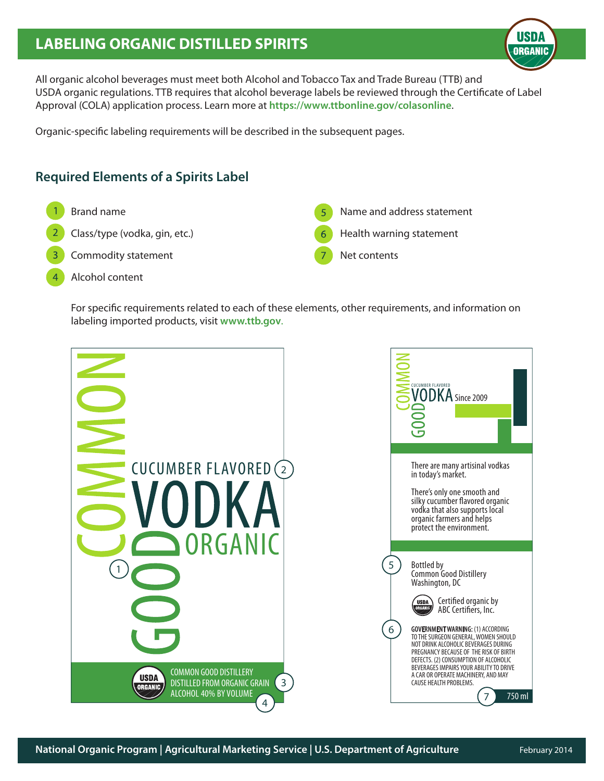# **LABELING ORGANIC DISTILLED SPIRITS**

**USDA ORGANIC** 

All organic alcohol beverages must meet both Alcohol and Tobacco Tax and Trade Bureau (TTB) and USDA organic regulations. TTB requires that alcohol beverage labels be reviewed through the Certificate of Label Approval (COLA) application process. Learn more at **https://www.ttbonline.gov/colasonline**.

Organic-specific labeling requirements will be described in the subsequent pages.

## **Required Elements of a Spirits Label**

- Brand name
- Class/type (vodka, gin, etc.)
- Commodity statement
- Alcohol content  $\Delta$
- Name and address statement 5
- Health warning statement
- Net contents

For specific requirements related to each of these elements, other requirements, and information on labeling imported products, visit **www.ttb.gov**.

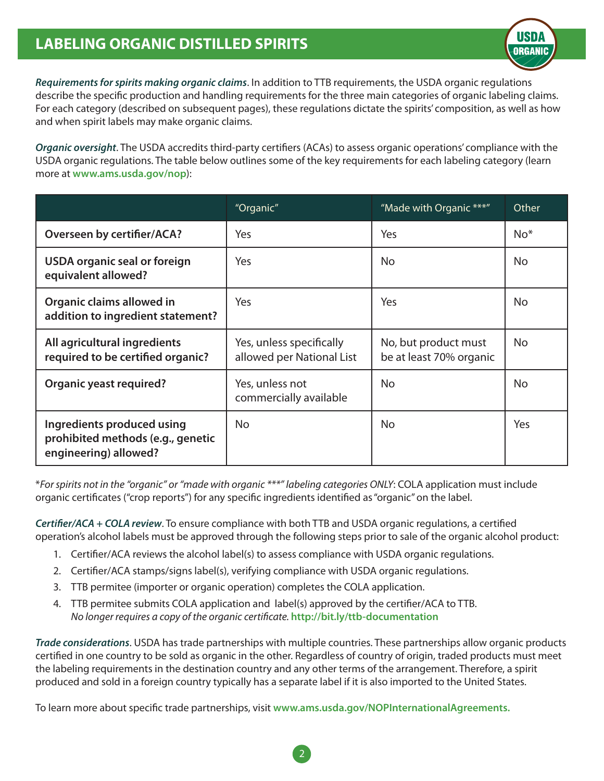# **LABELING ORGANIC DISTILLED SPIRITS**



*Requirements for spirits making organic claims*. In addition to TTB requirements, the USDA organic regulations describe the specific production and handling requirements for the three main categories of organic labeling claims. For each category (described on subsequent pages), these regulations dictate the spirits' composition, as well as how and when spirit labels may make organic claims.

*Organic oversight*. The USDA accredits third-party certifiers (ACAs) to assess organic operations' compliance with the USDA organic regulations. The table below outlines some of the key requirements for each labeling category (learn more at **www.ams.usda.gov/nop**):

|                                                                                          | "Organic"                                             | "Made with Organic ***"                         | Other     |
|------------------------------------------------------------------------------------------|-------------------------------------------------------|-------------------------------------------------|-----------|
| <b>Overseen by certifier/ACA?</b>                                                        | Yes                                                   | Yes                                             | $No*$     |
| USDA organic seal or foreign<br>equivalent allowed?                                      | Yes                                                   | <b>No</b>                                       | <b>No</b> |
| Organic claims allowed in<br>addition to ingredient statement?                           | Yes.                                                  | <b>Yes</b>                                      | No        |
| All agricultural ingredients<br>required to be certified organic?                        | Yes, unless specifically<br>allowed per National List | No, but product must<br>be at least 70% organic | <b>No</b> |
| <b>Organic yeast required?</b>                                                           | Yes, unless not<br>commercially available             | <b>No</b>                                       | No.       |
| Ingredients produced using<br>prohibited methods (e.g., genetic<br>engineering) allowed? | No.                                                   | No.                                             | Yes       |

\**For spirits not in the "organic" or "made with organic \*\*\*" labeling categories ONLY*: COLA application must include organic certificates ("crop reports") for any specific ingredients identified as "organic" on the label.

*Certifier/ACA + COLA review*. To ensure compliance with both TTB and USDA organic regulations, a certified operation's alcohol labels must be approved through the following steps prior to sale of the organic alcohol product:

- 1. Certifier/ACA reviews the alcohol label(s) to assess compliance with USDA organic regulations.
- 2. Certifier/ACA stamps/signs label(s), verifying compliance with USDA organic regulations.
- 3. TTB permitee (importer or organic operation) completes the COLA application.
- 4. TTB permitee submits COLA application and label(s) approved by the certifier/ACA to TTB. *No longer requires a copy of the organic certificate.* **http://bit.ly/ttb-documentation**

*Trade considerations*. USDA has trade partnerships with multiple countries. These partnerships allow organic products certified in one country to be sold as organic in the other. Regardless of country of origin, traded products must meet the labeling requirements in the destination country and any other terms of the arrangement. Therefore, a spirit produced and sold in a foreign country typically has a separate label if it is also imported to the United States.

To learn more about specific trade partnerships, visit **www.ams.usda.gov/NOPInternationalAgreements.**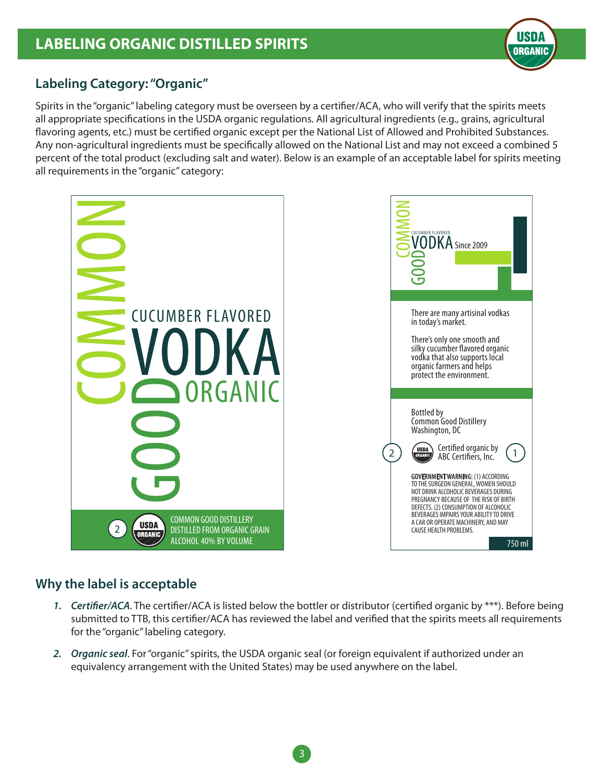

## **Labeling Category: "Organic"**

Spirits in the "organic" labeling category must be overseen by a certifier/ACA, who will verify that the spirits meets all appropriate specifications in the USDA organic regulations. All agricultural ingredients (e.g., grains, agricultural flavoring agents, etc.) must be certified organic except per the National List of Allowed and Prohibited Substances. Any non-agricultural ingredients must be specifically allowed on the National List and may not exceed a combined 5 percent of the total product (excluding salt and water). Below is an example of an acceptable label for spirits meeting all requirements in the "organic" category:



## **Why the label is acceptable**

- *1. Certifier/ACA*. The certifier/ACA is listed below the bottler or distributor (certified organic by \*\*\*). Before being submitted to TTB, this certifier/ACA has reviewed the label and verified that the spirits meets all requirements for the "organic" labeling category.
- *2. Organic seal*. For "organic" spirits, the USDA organic seal (or foreign equivalent if authorized under an equivalency arrangement with the United States) may be used anywhere on the label.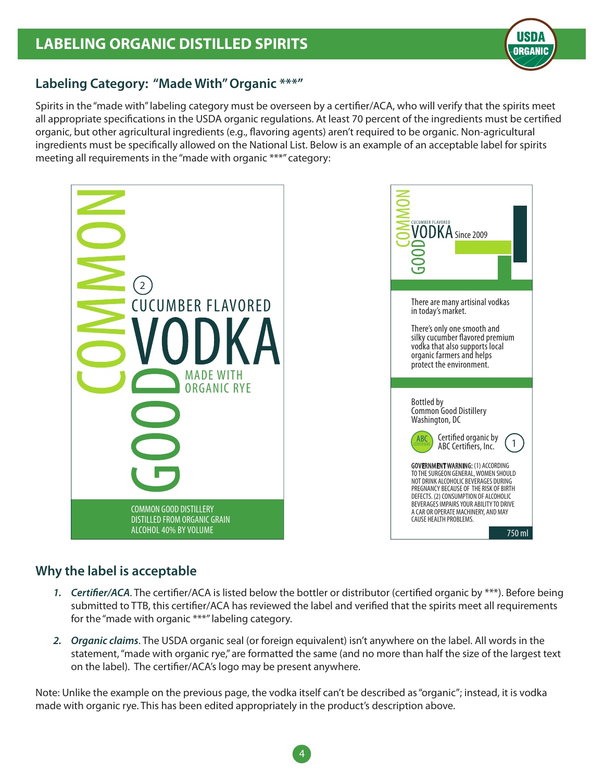

### **Labeling Category: "Made With" Organic \*\*\*"**

Spirits in the "made with" labeling category must be overseen by a certifier/ACA, who will verify that the spirits meet all appropriate specifications in the USDA organic regulations. At least 70 percent of the ingredients must be certified organic, but other agricultural ingredients (e.g., flavoring agents) aren't required to be organic. Non-agricultural ingredients must be specifically allowed on the National List. Below is an example of an acceptable label for spirits meeting all requirements in the "made with organic \*\*\*" category:



## **Why the label is acceptable**

- *1. Certifier/ACA*. The certifier/ACA is listed below the bottler or distributor (certified organic by \*\*\*). Before being submitted to TTB, this certifier/ACA has reviewed the label and verified that the spirits meet all requirements for the "made with organic \*\*\*" labeling category.
- *2. Organic claims*. The USDA organic seal (or foreign equivalent) isn't anywhere on the label. All words in the statement, "made with organic rye," are formatted the same (and no more than half the size of the largest text on the label). The certifier/ACA's logo may be present anywhere.

Note: Unlike the example on the previous page, the vodka itself can't be described as "organic"; instead, it is vodka made with organic rye. This has been edited appropriately in the product's description above.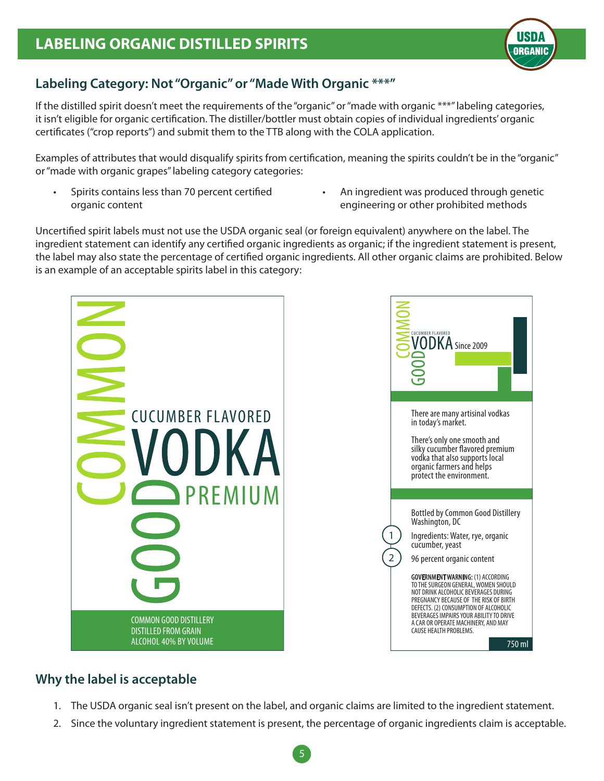

## **Labeling Category: Not "Organic" or "Made With Organic \*\*\*"**

If the distilled spirit doesn't meet the requirements of the "organic" or "made with organic \*\*\*" labeling categories, it isn't eligible for organic certification. The distiller/bottler must obtain copies of individual ingredients' organic certificates ("crop reports") and submit them to the TTB along with the COLA application.

Examples of attributes that would disqualify spirits from certification, meaning the spirits couldn't be in the "organic" or "made with organic grapes" labeling category categories:

- Spirits contains less than 70 percent certified organic content
- An ingredient was produced through genetic engineering or other prohibited methods

Uncertified spirit labels must not use the USDA organic seal (or foreign equivalent) anywhere on the label. The ingredient statement can identify any certified organic ingredients as organic; if the ingredient statement is present, the label may also state the percentage of certified organic ingredients. All other organic claims are prohibited. Below is an example of an acceptable spirits label in this category:



# **Why the label is acceptable**

- 1. The USDA organic seal isn't present on the label, and organic claims are limited to the ingredient statement.
- 2. Since the voluntary ingredient statement is present, the percentage of organic ingredients claim is acceptable.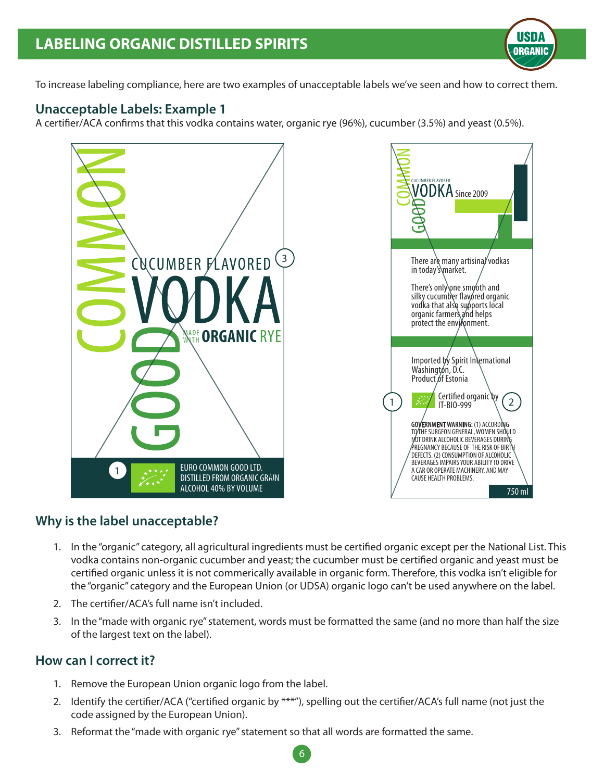

To increase labeling compliance, here are two examples of unacceptable labels we've seen and how to correct them.

#### **Unacceptable Labels: Example 1**

A certifier/ACA confirms that this vodka contains water, organic rye (96%), cucumber (3.5%) and yeast (0.5%).



#### **Why is the label unacceptable?**

- 1. In the "organic" category, all agricultural ingredients must be certified organic except per the National List. This vodka contains non-organic cucumber and yeast; the cucumber must be certified organic and yeast must be certified organic unless it is not commerically available in organic form. Therefore, this vodka isn't eligible for the "organic" category and the European Union (or UDSA) organic logo can't be used anywhere on the label.
- 2. The certifier/ACA's full name isn't included.
- 3. In the "made with organic rye" statement, words must be formatted the same (and no more than half the size of the largest text on the label).

#### **How can I correct it?**

- 1. Remove the European Union organic logo from the label.
- 2. Identify the certifier/ACA ("certified organic by \*\*\*"), spelling out the certifier/ACA's full name (not just the code assigned by the European Union).

6

3. Reformat the "made with organic rye" statement so that all words are formatted the same.